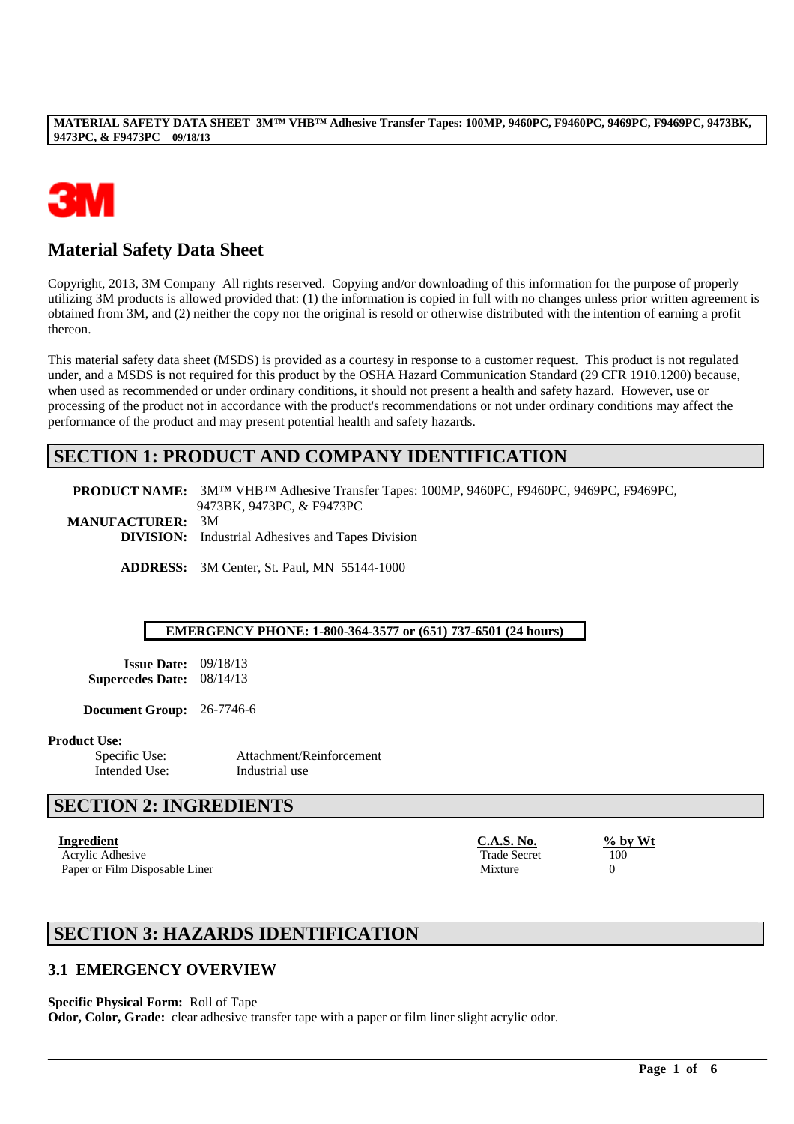

# **Material Safety Data Sheet**

Copyright, 2013, 3M Company All rights reserved. Copying and/or downloading of this information for the purpose of properly utilizing 3M products is allowed provided that: (1) the information is copied in full with no changes unless prior written agreement is obtained from 3M, and (2) neither the copy nor the original is resold or otherwise distributed with the intention of earning a profit thereon.

This material safety data sheet (MSDS) is provided as a courtesy in response to a customer request. This product is not regulated under, and a MSDS is not required for this product by the OSHA Hazard Communication Standard (29 CFR 1910.1200) because, when used as recommended or under ordinary conditions, it should not present a health and safety hazard. However, use or processing of the product not in accordance with the product's recommendations or not under ordinary conditions may affect the performance of the product and may present potential health and safety hazards.

## **SECTION 1: PRODUCT AND COMPANY IDENTIFICATION**

**PRODUCT NAME:** 3M™ VHB™ Adhesive Transfer Tapes: 100MP, 9460PC, F9460PC, 9469PC, F9469PC, 9473BK, 9473PC, & F9473PC **MANUFACTURER:** 3M **DIVISION:** Industrial Adhesives and Tapes Division

**ADDRESS:** 3M Center, St. Paul, MN 55144-1000

#### **EMERGENCY PHONE: 1-800-364-3577 or (651) 737-6501 (24 hours)**

**Issue Date:** 09/18/13 **Supercedes Date:** 08/14/13

**Document Group:** 26-7746-6

**Product Use:**

Intended Use: Industrial use

Specific Use: Attachment/Reinforcement

# **SECTION 2: INGREDIENTS**

**Ingredient C.A.S. No. % by Wt** Acrylic Adhesive 100 Paper or Film Disposable Liner Mixture 0

# **SECTION 3: HAZARDS IDENTIFICATION**

### **3.1 EMERGENCY OVERVIEW**

#### **Specific Physical Form:** Roll of Tape

**Odor, Color, Grade:** clear adhesive transfer tape with a paper or film liner slight acrylic odor.

\_\_\_\_\_\_\_\_\_\_\_\_\_\_\_\_\_\_\_\_\_\_\_\_\_\_\_\_\_\_\_\_\_\_\_\_\_\_\_\_\_\_\_\_\_\_\_\_\_\_\_\_\_\_\_\_\_\_\_\_\_\_\_\_\_\_\_\_\_\_\_\_\_\_\_\_\_\_\_\_\_\_\_\_\_\_\_\_\_\_\_\_\_\_\_\_\_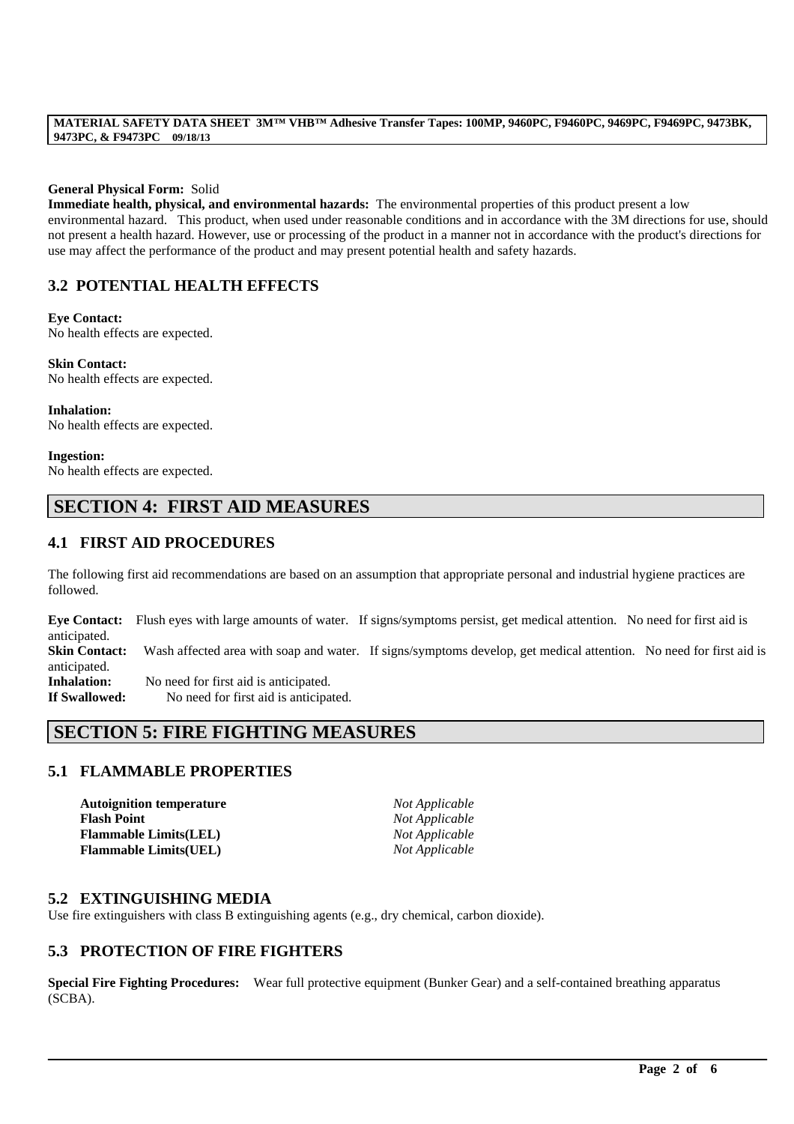#### **General Physical Form:** Solid

**Immediate health, physical, and environmental hazards:** The environmental properties of this product present a low environmental hazard. This product, when used under reasonable conditions and in accordance with the 3M directions for use, should not present a health hazard. However, use or processing of the product in a manner not in accordance with the product's directions for use may affect the performance of the product and may present potential health and safety hazards.

## **3.2 POTENTIAL HEALTH EFFECTS**

**Eye Contact:**

No health effects are expected.

**Skin Contact:** No health effects are expected.

**Inhalation:** No health effects are expected.

**Ingestion:** No health effects are expected.

# **SECTION 4: FIRST AID MEASURES**

## **4.1 FIRST AID PROCEDURES**

The following first aid recommendations are based on an assumption that appropriate personal and industrial hygiene practices are followed.

**Eye Contact:** Flush eyes with large amounts of water. If signs/symptoms persist, get medical attention. No need for first aid is anticipated. **Skin Contact:** Wash affected area with soap and water. If signs/symptoms develop, get medical attention. No need for first aid is anticipated. **Inhalation:** No need for first aid is anticipated. **If Swallowed:** No need for first aid is anticipated.

# **SECTION 5: FIRE FIGHTING MEASURES**

## **5.1 FLAMMABLE PROPERTIES**

**Autoignition temperature** *Not Applicable* **Flash Point** *Not Applicable* **Flammable Limits(LEL)** *Not Applicable* **Flammable Limits(UEL)** *Not Applicable*

## **5.2 EXTINGUISHING MEDIA**

Use fire extinguishers with class B extinguishing agents (e.g., dry chemical, carbon dioxide).

### **5.3 PROTECTION OF FIRE FIGHTERS**

**Special Fire Fighting Procedures:** Wear full protective equipment (Bunker Gear) and a self-contained breathing apparatus (SCBA).

\_\_\_\_\_\_\_\_\_\_\_\_\_\_\_\_\_\_\_\_\_\_\_\_\_\_\_\_\_\_\_\_\_\_\_\_\_\_\_\_\_\_\_\_\_\_\_\_\_\_\_\_\_\_\_\_\_\_\_\_\_\_\_\_\_\_\_\_\_\_\_\_\_\_\_\_\_\_\_\_\_\_\_\_\_\_\_\_\_\_\_\_\_\_\_\_\_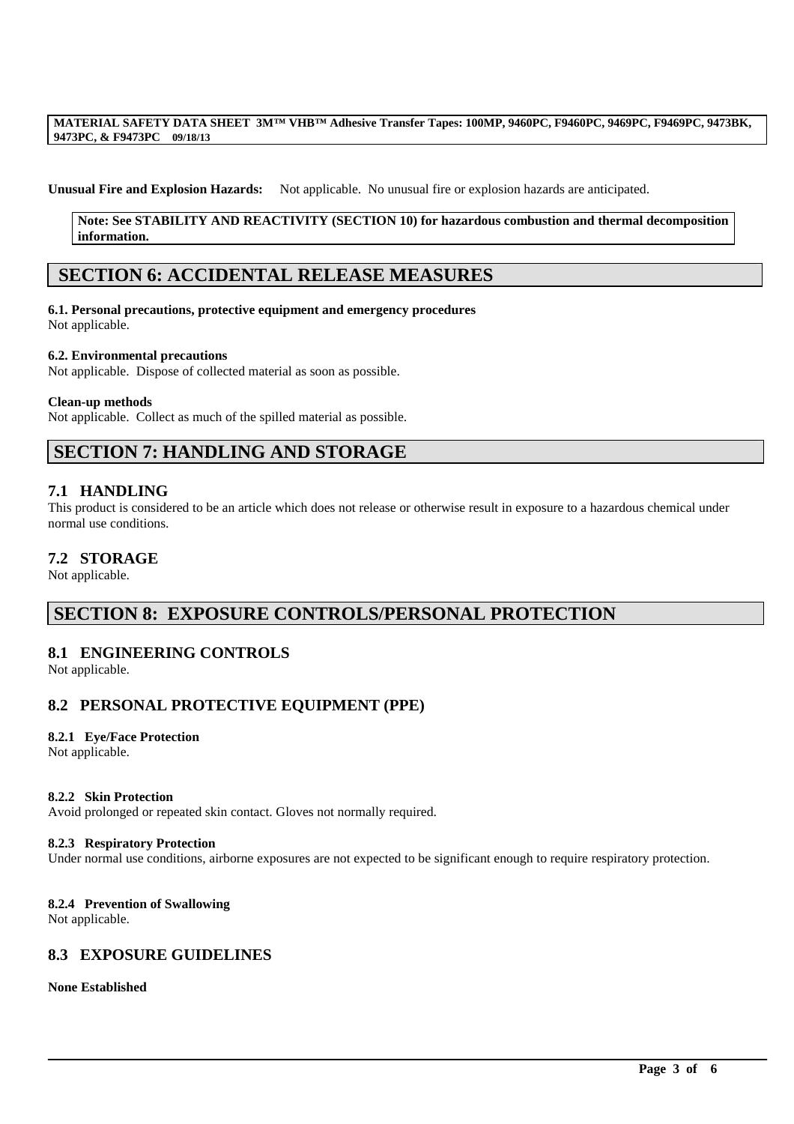#### **Unusual Fire and Explosion Hazards:** Not applicable. No unusual fire or explosion hazards are anticipated.

#### **Note: See STABILITY AND REACTIVITY (SECTION 10) for hazardous combustion and thermal decomposition information.**

## **SECTION 6: ACCIDENTAL RELEASE MEASURES**

#### **6.1. Personal precautions, protective equipment and emergency procedures** Not applicable.

#### **6.2. Environmental precautions**

Not applicable. Dispose of collected material as soon as possible.

#### **Clean-up methods**

Not applicable. Collect as much of the spilled material as possible.

# **SECTION 7: HANDLING AND STORAGE**

#### **7.1 HANDLING**

This product is considered to be an article which does not release or otherwise result in exposure to a hazardous chemical under normal use conditions.

#### **7.2 STORAGE**

Not applicable.

## **SECTION 8: EXPOSURE CONTROLS/PERSONAL PROTECTION**

### **8.1 ENGINEERING CONTROLS**

Not applicable.

## **8.2 PERSONAL PROTECTIVE EQUIPMENT (PPE)**

#### **8.2.1 Eye/Face Protection**

Not applicable.

#### **8.2.2 Skin Protection**

Avoid prolonged or repeated skin contact. Gloves not normally required.

#### **8.2.3 Respiratory Protection**

Under normal use conditions, airborne exposures are not expected to be significant enough to require respiratory protection.

\_\_\_\_\_\_\_\_\_\_\_\_\_\_\_\_\_\_\_\_\_\_\_\_\_\_\_\_\_\_\_\_\_\_\_\_\_\_\_\_\_\_\_\_\_\_\_\_\_\_\_\_\_\_\_\_\_\_\_\_\_\_\_\_\_\_\_\_\_\_\_\_\_\_\_\_\_\_\_\_\_\_\_\_\_\_\_\_\_\_\_\_\_\_\_\_\_

#### **8.2.4 Prevention of Swallowing**

Not applicable.

### **8.3 EXPOSURE GUIDELINES**

#### **None Established**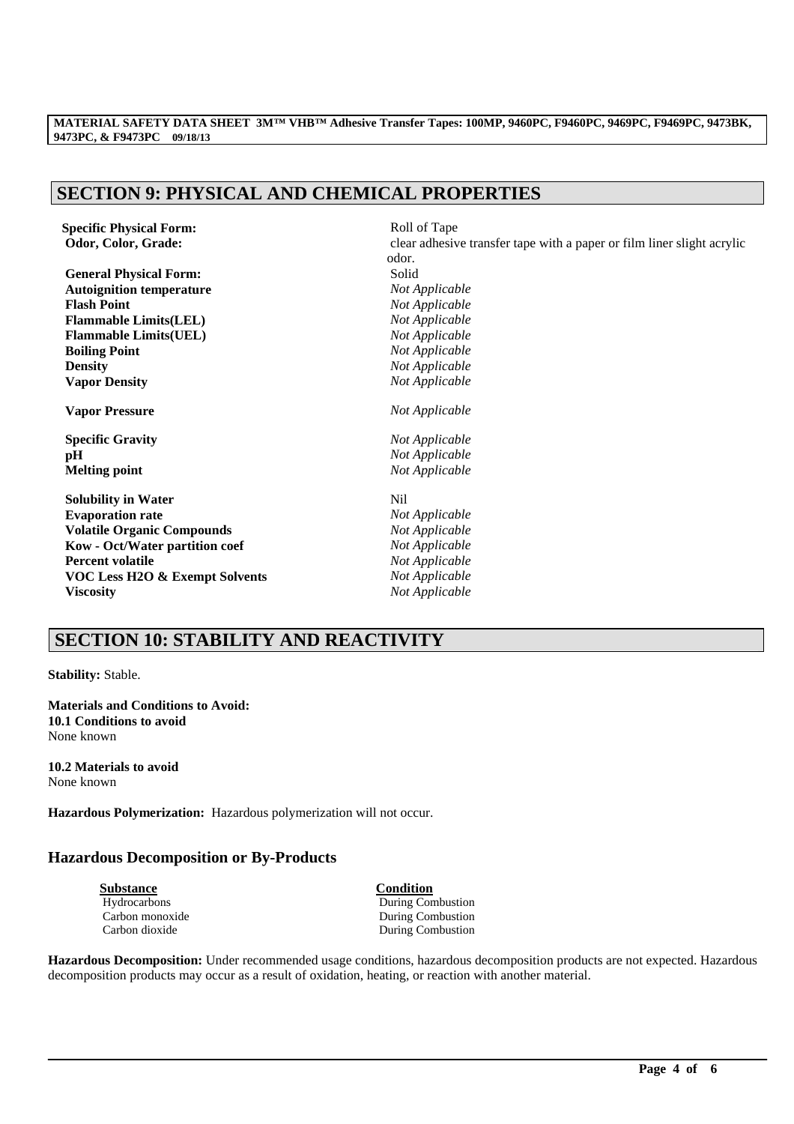# **SECTION 9: PHYSICAL AND CHEMICAL PROPERTIES**

**Specific Physical Form:**  $Rol1$  of Tape

**General Physical Form:** Solid **Autoignition temperature** *Not Applicable* **Flash Point** *Not Applicable* **Flammable Limits(LEL)** *Not Applicable* **Flammable Limits(UEL)** *Not Applicable* **Boiling Point** *Not Applicable* **Density** *Not Applicable* **Vapor Density** *Not Applicable*

**Vapor Pressure** *Not Applicable*

**Specific Gravity** *Not Applicable* **pH** *Not Applicable*

**Solubility in Water** Nil **Evaporation rate** *Not Applicable* **Volatile Organic Compounds** *Not Applicable* **Kow - Oct/Water partition coef** *Not Applicable* **Percent volatile** *Not Applicable* **VOC Less H2O & Exempt Solvents** *Not Applicable* **Viscosity** *Not Applicable*

**Odor, Color, Grade: clear adhesive transfer tape with a paper or film liner slight acrylic** odor. **Melting point** *Not Applicable*

# **SECTION 10: STABILITY AND REACTIVITY**

**Stability:** Stable.

**Materials and Conditions to Avoid: 10.1 Conditions to avoid** None known

**10.2 Materials to avoid** None known

**Hazardous Polymerization:** Hazardous polymerization will not occur.

### **Hazardous Decomposition or By-Products**

| Substance       |
|-----------------|
| Hydrocarbons    |
| Carbon monoxide |
| Carbon dioxide  |

**Condition** During Combustion During Combustion During Combustion

**Hazardous Decomposition:** Under recommended usage conditions, hazardous decomposition products are not expected. Hazardous decomposition products may occur as a result of oxidation, heating, or reaction with another material.

\_\_\_\_\_\_\_\_\_\_\_\_\_\_\_\_\_\_\_\_\_\_\_\_\_\_\_\_\_\_\_\_\_\_\_\_\_\_\_\_\_\_\_\_\_\_\_\_\_\_\_\_\_\_\_\_\_\_\_\_\_\_\_\_\_\_\_\_\_\_\_\_\_\_\_\_\_\_\_\_\_\_\_\_\_\_\_\_\_\_\_\_\_\_\_\_\_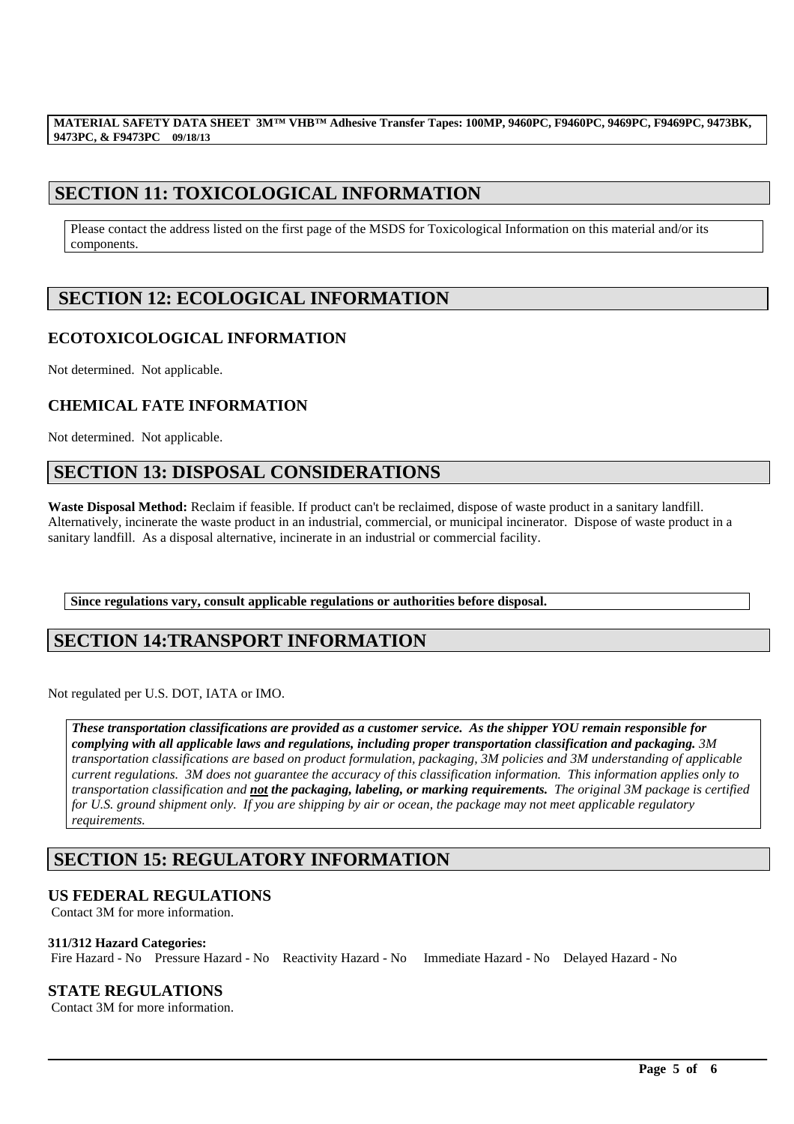# **SECTION 11: TOXICOLOGICAL INFORMATION**

Please contact the address listed on the first page of the MSDS for Toxicological Information on this material and/or its components.

# **SECTION 12: ECOLOGICAL INFORMATION**

## **ECOTOXICOLOGICAL INFORMATION**

Not determined. Not applicable.

## **CHEMICAL FATE INFORMATION**

Not determined. Not applicable.

# **SECTION 13: DISPOSAL CONSIDERATIONS**

**Waste Disposal Method:** Reclaim if feasible. If product can't be reclaimed, dispose of waste product in a sanitary landfill. Alternatively, incinerate the waste product in an industrial, commercial, or municipal incinerator. Dispose of waste product in a sanitary landfill. As a disposal alternative, incinerate in an industrial or commercial facility.

**Since regulations vary, consult applicable regulations or authorities before disposal.**

# **SECTION 14:TRANSPORT INFORMATION**

Not regulated per U.S. DOT, IATA or IMO.

*These transportation classifications are provided as a customer service. As the shipper YOU remain responsible for complying with all applicable laws and regulations, including proper transportation classification and packaging. 3M transportation classifications are based on product formulation, packaging, 3M policies and 3M understanding of applicable current regulations. 3M does not guarantee the accuracy of this classification information. This information applies only to transportation classification and not the packaging, labeling, or marking requirements. The original 3M package is certified for U.S. ground shipment only. If you are shipping by air or ocean, the package may not meet applicable regulatory requirements.* 

\_\_\_\_\_\_\_\_\_\_\_\_\_\_\_\_\_\_\_\_\_\_\_\_\_\_\_\_\_\_\_\_\_\_\_\_\_\_\_\_\_\_\_\_\_\_\_\_\_\_\_\_\_\_\_\_\_\_\_\_\_\_\_\_\_\_\_\_\_\_\_\_\_\_\_\_\_\_\_\_\_\_\_\_\_\_\_\_\_\_\_\_\_\_\_\_\_

# **SECTION 15: REGULATORY INFORMATION**

## **US FEDERAL REGULATIONS**

Contact 3M for more information.

### **311/312 Hazard Categories:**

Fire Hazard - No Pressure Hazard - No Reactivity Hazard - No Immediate Hazard - No Delayed Hazard - No

## **STATE REGULATIONS**

Contact 3M for more information.